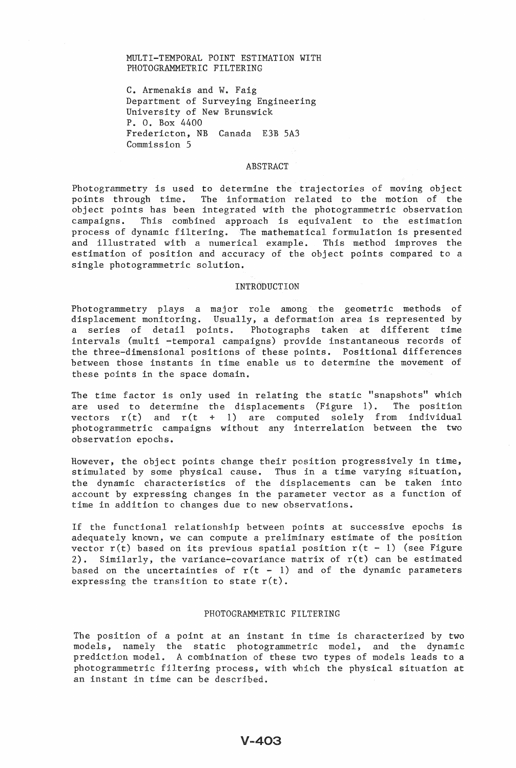# MULTI-TEMPORAL POINT ESTIMATION WITH PHOTOGRAMMETRIC FILTERING

C. Armenakis and W. Faig Department of Surveying Engineering University of New Brunswick P. O. Box 4400 Fredericton, NB Canada E3B SA3 Commission S

#### **ABSTRACT**

Photogrammetry is used to determine the trajectories of moving object<br>points through time. The information related to the motion of the The information related to the motion of the object points has been integrated with the photogrammetric observation campaigns. This combined approach is equivalent to the estimation process of dynamic filtering. The mathematical formulation is presented and illustrated with a numerical example. This method improves the estimation of position and accuracy of the object points compared to a single photogrammetric solution.

### INTRODUCTION

Photogrammetry plays a major role among the geometric methods of displacement monitoring. Usually, a deformation area is represented by a series of detail points. Photographs taken at different time intervals (multi -temporal campaigns) provide instantaneous records of the three-dimensional positions of these points. Positional differences between those instants in time enable us to determine the movement of these points in the space domain.

The time factor is only used in relating the static "snapshots" which are used to determine the displacements (Figure 1). The position vectors  $r(t)$  and  $r(t + 1)$  are computed solely from individual photogrammetric campaigns without any interrelation between the two observation epochs.

However, the object points change their position progressively in time, stimulated by some physical cause. Thus in a time varying situation, the dynamic characteristics of the displacements can be taken into account by expressing changes in the parameter vector as a function of time in addition to changes due to new observations.

If the functional relationship between points at successive epochs is adequately known, we can compute a preliminary estimate of the position vector  $r(t)$  based on its previous spatial position  $r(t - 1)$  (see Figure 2). Similarly, the variance-covariance matrix of  $r(t)$  can be estimated based on the uncertainties of  $r(t - 1)$  and of the dynamic parameters expressing the transition to state  $r(t)$ .

# PHOTOGRAMMETRIC FILTERING

The position of a point at an instant in time is characterized by two models, namely the static photogrammetric model, and the dynamic prediction model. A combination of these two types of models leads to a photogrammetric filtering process, with which the physical situation at an instant in time can be described.

 $V - 403$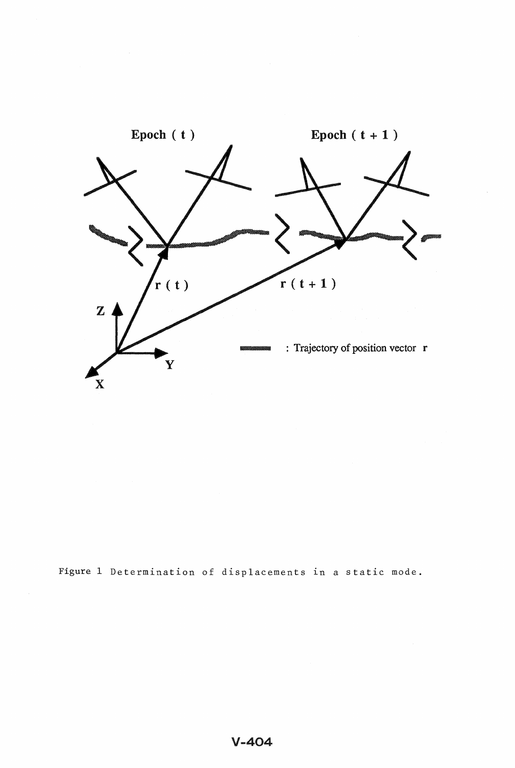

Figure 1 Determination of displacements in a static mode.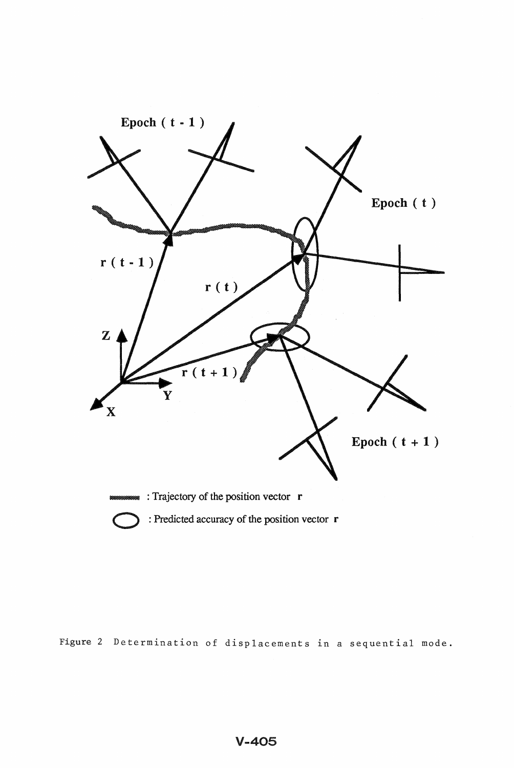

: Predicted accuracy of the position vector  $r$ 

Figure 2 Determination of displacements in a sequential mode.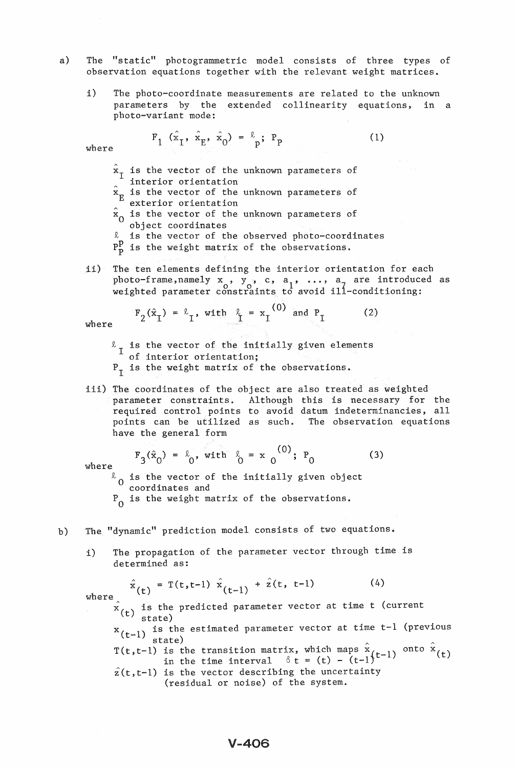- a) The "static" photogrammetric model consists of three types of observation equations together with the relevant weight matrices.
	- i) The photo-coordinate measurements are related to the unknown parameters by the extended collinearity equations, in a photo-variant mode:

$$
\mathbf{F}_{1} (\hat{\mathbf{x}}_{1}, \hat{\mathbf{x}}_{E}, \hat{\mathbf{x}}_{0}) = \frac{\ell}{p}; \mathbf{P}_{p} \tag{1}
$$

where

- $x<sub>I</sub>$  is the vector of the unknown parameters of interior orientation
- $\hat{x}$  is the vector of the unknown parameters of exterior orientation
- $\hat{x}_0$  is the vector of the unknown parameters of object coordinates
- It is the vector of the observed photo-coordinates
- $P_{\rm p}^{\rm p}$  is the weight matrix of the observations.
- ii) The ten elements defining the interior orientation for each photo-frame, namely  $x$ ,  $y$ , c,  $a_1$ , ...,  $a_n$  are introduced as weighted parameter constraints to avoid ill-conditioning:

 $\mathcal{L} \sim 1$ 

$$
F_2(\hat{x}_I) = \hat{k}_I, \text{ with } \hat{k}_I = x_I^{(0)} \text{ and } P_I
$$
 (2)

where

- $\kappa$ <sub>I</sub> is the vector of the initially given elements of interior orientation;
- $P_T$  is the weight matrix of the observations.
- iii) The coordinates of the object are also treated as weighted parameter constraints. Although this is necessary for the required control points to avoid datum indeterminancies, all points can be utilized as such. The observation equations have the general form

- $F_{0}(\hat{x}_{0}) = k_{0}$ , with  $k_{0} = x_{0}^{(0)}$ ; P<sub>0</sub> (3) where  $F_3(\hat{x}_0) = \hat{x}_0$ , with  $\hat{x}_0 = x_0^{(0)}$ ; P<sub>0</sub>
- where  $\begin{array}{c} 0 & 0 & 0 \\ 0 & \end{array}$  is the vector of the initially given object coordinates and
	- $P_{\Omega}$  is the weight matrix of the observations.
- b) The "dynamic" prediction model consists of two equations.
	- i) The propagation of the parameter vector through time is determined as:

$$
\hat{x}_{(t)} = T(t, t-1) \hat{x}_{(t-1)} + \hat{z}(t, t-1)
$$
 (4)

where  $\hat{x}$  (t) is the predicted parameter vector at time t (current<br>state)

x (t-1) is the estimated parameter vector at time t-1 (previous<br> $x(t-1)$  state) state)

T(t,t-1) is the transition matrix, which maps  $\hat{x}$ <br>in the time interval  $\delta t = (t) - (t-1)^{(t-1)}$  onto  $\hat{x}$  (t)  $\hat{z}(t,t-1)$  is the vector describing the uncertainty

(residual or noise) of the system.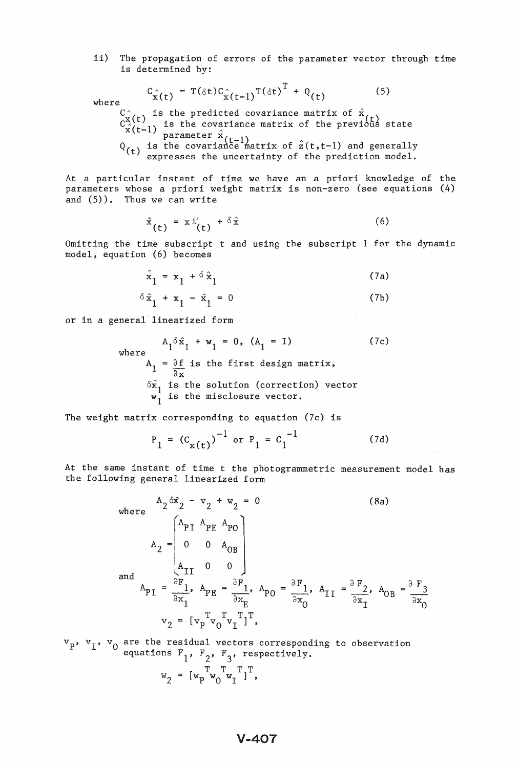ii) The propagation of errors of the parameter vector through time is determined by:

$$
C_{\hat{\mathbf{x}}(t)} = T(\delta t) C_{\hat{\mathbf{x}}(t-1)}^T (\delta t)^T + Q_{(t)}
$$
(5)

where

 $\mathcal{C}_{\hat{\mathbf{v}}(t)}^{\hat{\mathcal{C}}}$  is the predicted covariance matrix of  $\hat{\mathbf{x}}_t$ 

- $C_{\hat{X}}^{X}(t-1)$  is the covariance matrix of the previous state parameter  $\hat{X}(t-1)$
- $Q_{(t)}$  is the covariance matrix of  $\hat{z}(t,t-1)$  and generally t) expresses the uncertainty of the prediction model.

At a particular instant of time we have an a priori knowledge of the parameters whose a priori weight matrix is non-zero (see equations (4) and (5)). Thus we can write

$$
\hat{\mathbf{x}}_{(t)} = \mathbf{x} \hat{\mathbf{x}}_{(t)} + \delta \hat{\mathbf{x}} \tag{6}
$$

Omitting the time subscript t and using the subscript I for the dynamic model, equation (6) becomes

$$
\hat{\mathbf{x}}_1 = \mathbf{x}_1 + \delta \hat{\mathbf{x}}_1 \tag{7a}
$$

$$
\delta \hat{\mathbf{x}}_1 + \mathbf{x}_2 - \hat{\mathbf{x}}_1 = 0 \tag{7b}
$$

or in a general linearized form

 $\delta \hat{x}_1 + x_1 - \hat{x}_1 = 0$ <br>
neral<sup>[1</sup>linearized form<br>  $A_1 \delta \hat{x}_1 + w_1 = 0$ , (A<sub>1</sub> = I)<br>
where<br>  $A_1 = \frac{\partial f}{\partial x}$  is the first design matrix,  $\overline{\partial \mathbf{x}}$  $\delta \hat{x}_1$  is the solution (correction) vector<br> $w_1$  is the misclosure vector. (7c)

The weight matrix corresponding to equation (7c) is

$$
P_1 = (C_{x(t)})^{-1}
$$
 or  $P_1 = C_1^{-1}$  (7d)

At the same instant of time t the photogrammetric measurement model has the following general linearized form

> where  $A_2 \delta \hat{x}_2 - v_2 + w_2 = 0$  $\begin{bmatrix} A_{\text{PI}} & A_{\text{PE}} & A_{\text{PO}} \end{bmatrix}$  $A_2 = \begin{vmatrix} 0 & 0 & A_{OB} \end{vmatrix}$ and  $A_{\text{PI}} = \frac{\begin{bmatrix} A_{\text{II}} & 0 & 0 \end{bmatrix}}{\frac{\partial F}{\partial x_1}}$ ,  $A_{\text{PE}} = \frac{\partial F_1}{\partial x_1}$ ,  $A_{\text{PO}} = \frac{\partial F_1}{\partial x_0}$ ,  $A_{\text{II}} = \frac{\partial F_2}{\partial x_1}$ ,  $A_{\text{OB}} = \frac{\partial F_3}{\partial x_0}$  $v_2 = [v_p^T v_0^T v_1^T]$ , (8a)  $\frac{2}{\sqrt{3x_0}}$ ,  $\frac{40B}{\sqrt{9x_0}}$

are the residual vectors corresponding equations  $F_1$ ,  $F_2$ ,  $F_3$ , respectively. to observation

$$
\mathbf{w}_2 = [\mathbf{w}_p^T \mathbf{w}_0^T \mathbf{w}_1^T]^T,
$$

# **V-407**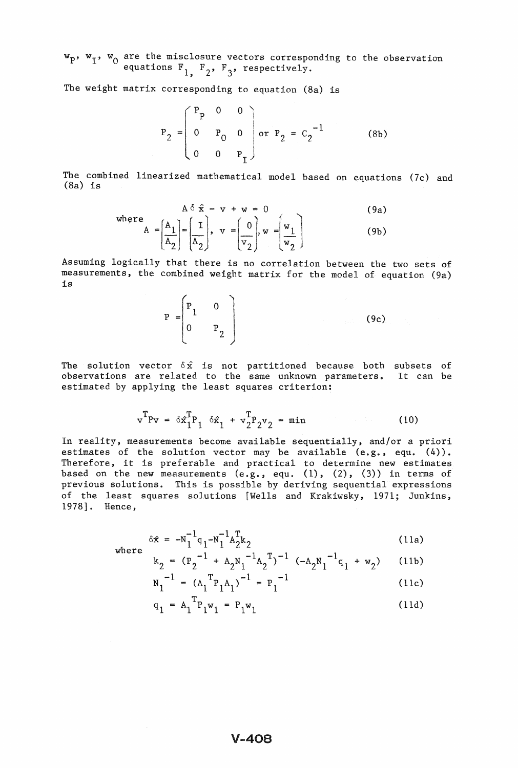$w_p$ ,  $w_1$ ,  $w_0$  are the misclosure vectors corresponding to the observation equations  $F_1$ ,  $F_2$ ,  $F_3$ , respectively.

The weight matrix corresponding to equation (8a) is

$$
P_2 = \begin{pmatrix} P_p & 0 & 0 \\ 0 & P_0 & 0 \\ 0 & 0 & P_T \end{pmatrix} \text{ or } P_2 = C_2^{-1}
$$
 (8b)

The combined linearized mathematical model based on equations (7c) and (8a) is

where  

$$
A = \left[\frac{A_1}{A_2}\right] = \left[\frac{I}{A_2}\right], \quad v = \left[\frac{0}{v_2}\right], \quad w = \left[\frac{w_1}{w_2}\right]
$$
(9a)

Assuming logically that there is no correlation between the two sets of measurements, the combined weight matrix for the model of equation (9a) is

$$
P = \begin{bmatrix} P_1 & 0 \\ 0 & P_2 \end{bmatrix} \tag{9c}
$$

The solution vector  $\delta \hat{\mathbf{x}}$  is not partitioned because both subsets of observations are related to the same unknown parameters. It can be estimated by applying the least squares criterion:

$$
\mathbf{v}^{\mathrm{T}}\mathbf{P}\mathbf{v} = \delta \hat{\mathbf{x}}_1^{\mathrm{T}}\mathbf{P}_1 \quad \delta \hat{\mathbf{x}}_1 + \mathbf{v}_2^{\mathrm{T}}\mathbf{P}_2\mathbf{v}_2 = \min
$$
 (10)

In reality, measurements become available sequentially, and/or a priori estimates of the solution vector may be available  $(e.g.,\ equ. (4)).$ Therefore, it is preferable and practical to determine new estimates based on the new measurements (e.g., equ. (1), (2), (3)) in terms of previous solutions. This is possible by deriving sequential expressions of the least squares solutions [Wells and Krakiwsky, 1971; Junkins, 1978]. Hence,

$$
\delta \hat{\mathbf{x}} = -\mathbf{N}_1^{-1} \mathbf{q}_1 - \mathbf{N}_1^{-1} \mathbf{A}_2^{\mathrm{T}} \mathbf{k}_2
$$
 (11a)

wher

$$
k_2 = (P_2^{-1} + A_2N_1^{-1}A_2^{T})^{-1} (-A_2N_1^{-1}q_1 + w_2)
$$
 (11b)

$$
N_1^{-1} = (A_1^{T}P_1A_1)^{-1} = P_1^{-1}
$$
 (11c)

$$
q_1 = A_1^T P_1 w_1 = P_1 w_1 \tag{11d}
$$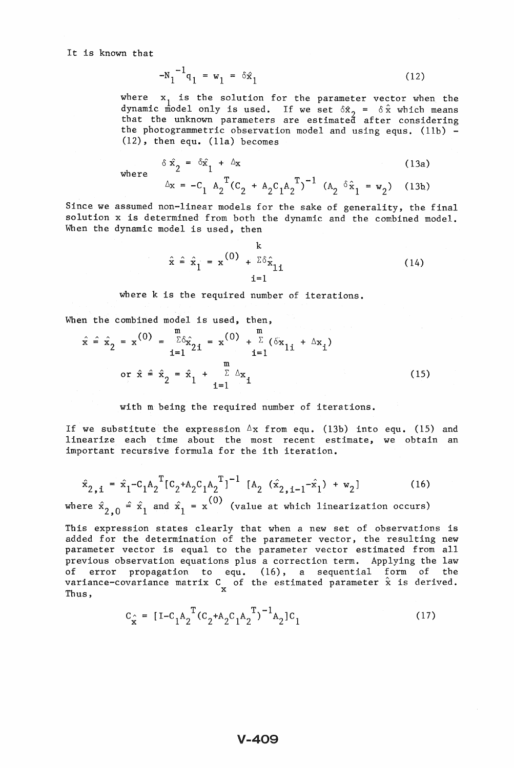$$
N_1^{-1}q_1 = w_1 = \delta \hat{x}_1 \tag{12}
$$

where  $x_1$  is the solution for the parameter vector when the dynamic model only is used. If we set  $\delta \hat{x}_2 = \delta \hat{x}$  which means that the unknown parameters are estimated after considering the photogrammetric observation model and using equs. (lIb) - (12), then equ. (lla) becomes

$$
\delta \hat{x}_2 = \delta \hat{x}_1 + \Delta x
$$
\n(13a)\n
$$
\Delta x = -C_1 A_2^T (C_2 + A_2 C_1 A_2^T)^{-1} (A_2 \delta \hat{x}_1 = w_2)
$$
\n(13b)

where

Since we assumed non-linear models for the sake of generality, the final solution x is determined from both the dynamic and the combined model. When the dynamic model is used, then

$$
\hat{\mathbf{x}} = \hat{\mathbf{x}}_1 = \mathbf{x}^{(0)} + \frac{\mathbf{k}}{\mathbf{2}\delta\hat{\mathbf{x}}_{1i}} \tag{14}
$$

where k is the required number of iterations.

When the combined model is used, then,

$$
\hat{x} = \hat{x}_2 = x^{(0)} = \frac{m}{2\delta} \hat{x}_{2i} = x^{(0)} + \frac{m}{2} (\delta x_{1i} + \Delta x_i)
$$
  
or  $\hat{x} = \hat{x}_2 = \hat{x}_1 + \frac{m}{2\Delta} \Delta x_i$  (15)

#### with m being the required number of iterations.

If we substitute the expression  $\Delta$ x from equ. (13b) into equ. (15) and linearize each time about the most recent estimate, we obtain an important recursive formula for the ith iteration.

$$
\hat{\mathbf{x}}_{2,i} = \hat{\mathbf{x}}_1 - C_1 \mathbf{A}_2^{\mathrm{T}} [C_2 + \mathbf{A}_2 C_1 \mathbf{A}_2^{\mathrm{T}}]^{-1} [\mathbf{A}_2 (\hat{\mathbf{x}}_{2,i-1} - \hat{\mathbf{x}}_1) + \mathbf{w}_2]
$$
(16)

where  $\hat{x}_{2,0} = \hat{x}_1$  and  $\hat{x}_1 = x^{(0)}$  (value at which linearization occurs)

This expression states clearly that when a new set of observations is added for the determination of the parameter vector, the resulting new parameter vector is equal to the parameter vector estimated from all previous observation equations plus a correction term. Applying the law of error propagation to equ. (16), a sequential form of the variance-covariance matrix C of the estimated parameter  $\hat{x}$  is derived. Thus,  $\boldsymbol{x}$ 

$$
C_{\hat{x}} = [I - C_1 A_2^T (C_2 + A_2 C_1 A_2^T)^{-1} A_2] C_1
$$
 (17)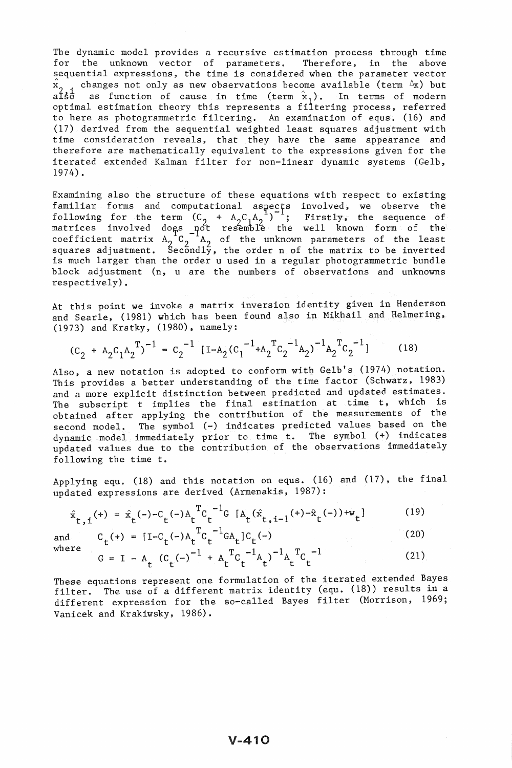The dynamic model provides a recursive estimation process through time for the unknown vector of parameters. Therefore, in the above sequential expressions, the time is considered when the parameter vector  $\hat{x}_{0}$ . changes not only as new observations become available (term  $\Delta x$ ) but also as function of cause in time (term  $\hat{x}_1$ ). In terms of modern optimal estimation theory this represents a filtering process, referred to here as photogrammetric filtering. An examination of equs. (16) and (17) derived from the sequential weighted least squares adjustment with time consideration reveals, that they have the same appearance and therefore are mathematically equivalent to the expressions given for the iterated extended Kalman filter for non-linear dynamic systems (Gelb, 1974).

Examining also the structure of these equations with respect to existing familiar forms and computational aspects involved, we observe the following for the term  $(C_2 + A_2 C_1 A_2^{-1})^{-1}$ ; Firstly, the sequence of matrices involved dogs not resemble the well known form of the coefficient matrix  $A_2^{-1}C_2^{-1}A_2$  of the unknown parameters of the least<br>squares adjustment. Secondly, the order n of the matrix to be inverted is much larger than the order u used in a regular photogrammetric bundle block adjustment (n, u are the numbers of observations and unknowns respectively).

At this point we invoke a matrix inversion identity given in Henderson and Searle, (1981) which has been found also in Mikhail and Helmering, (1973) and Kratky, (1980), namely:

$$
(C_2 + A_2 C_1 A_2^T)^{-1} = C_2^{-1} [I - A_2 (C_1^{-1} + A_2^T C_2^{-1} A_2)^{-1} A_2^T C_2^{-1}]
$$
 (18)

Also, a new notation is adopted to conform with Gelb's (1974) notation. This provides a better understanding of the time factor (Schwarz, 1983) and a more explicit distinction between predicted and updated estimates. The subscript t implies the final estimation at time t, which is obtained after applying the contribution of the measurements of the second model. The symbol (-) indicates predicted values based on the dynamic model immediately prior to time t. The symbol (+) indicates updated values due to the contributton of the observations immediately following the time t.

Applying equ. (18) and this notation on equs. (16) and (17), the final updated expressions are derived (Armenakis, 1987):

$$
\hat{x}_{t,i}^{(+)} = \hat{x}_{t}^{(-)-C}C_{t}^{(-)A}C_{t}^{TC}^{-1}G[A_{t}(\hat{x}_{t,i-1}^{(-)+\hat{x}}_{t}^{(-)})+w_{t}]
$$
\n
$$
C_{t}^{(+)} = [I - C_{t}^{(-)}A_{t}^{TC}C_{t}^{-1}G_{t}C_{t}^{(-)}]
$$
\n(20)

and where

$$
G = I - A_t (C_t(-))^{-1} + A_t^T C_t^{-1} A_t)^{-1} A_t^T C_t^{-1}
$$
 (21)

(20)

These equations represent one formulation of the iterated extended Bayes filter. The use of a different matrix identity (equ. (18)) results in a different expression for the so-called Bayes filter (Morrison, 1969; Vanicek and Krakiwsky, 1986).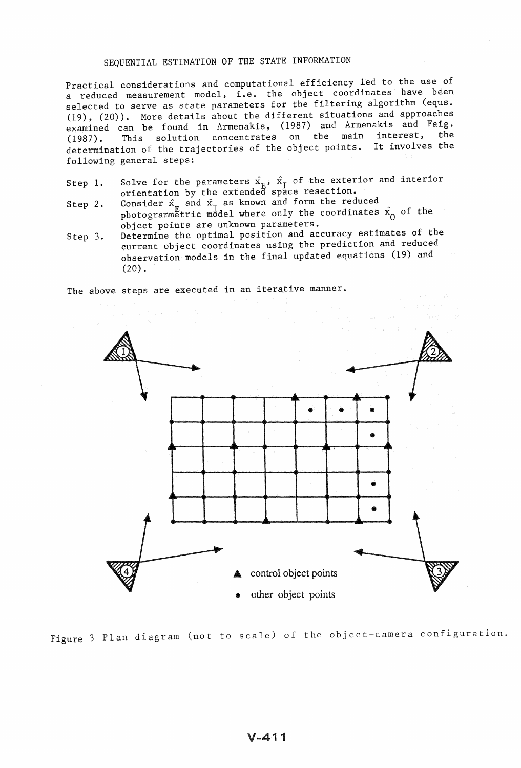### SEQUENTIAL ESTIMATION OF THE STATE INFORMATION

Practical considerations and computational efficiency led to the use of a reduced measurement model, i.e. the object coordinates have been selected to serve as state parameters for the filtering algorithm (equs. (19), (20)). More details about the different situations and approaches examined can be found in Armenakis, (1987) and Armenakis and Faig, (1987). This solution concentrates on the main interest, the determination of the trajectories of the object points. It involves the following general steps:

- Step 1. Solve for the parameters  $\hat{x}_{\text{E}}$ ,  $\hat{x}_{\text{T}}$  of the exterior and interior orientation by the extended space resection.
- Step 2. Consider  $\hat{x}_F$  and  $\hat{x}_I$  as known and form the reduced photogrammetric model where only the coordinates  $\hat{x_0}$  of the object points are unknown parameters.
- Step 3. Determine the optimal position and accuracy estimates of the current object coordinates using the prediction and reduced observation models in the final updated equations (19) and (20).

The above steps are executed in an iterative manner.



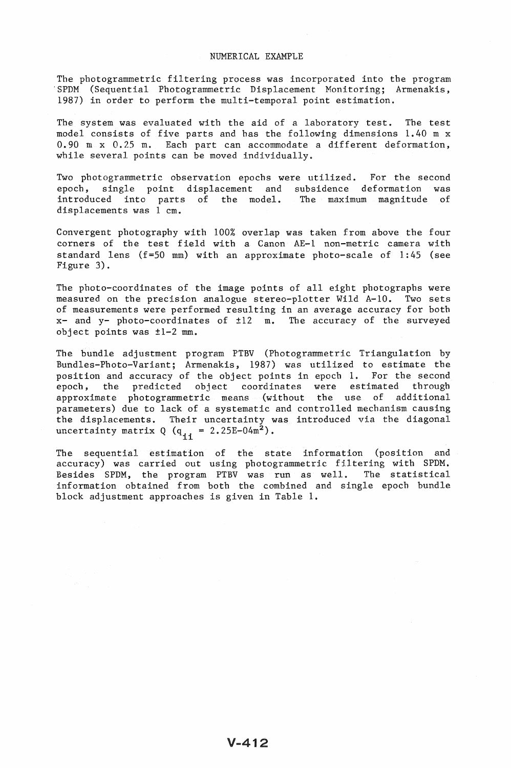### NUMERICAL EXAMPLE

The photogrammetric filtering process was incorporated into the program 'SPDM (Sequential Photogrammetric Displacement Monitoring; Armenakis, 1987) in order to perform the multi-temporal point estimation.

The system was evaluated with the aid of a laboratory test. The test model consists of five parts and has the following dimensions 1.40 m x 0.90 m x 0.25 m. Each part can accommodate a different deformation, while several points can be moved individually.

Two photogrammetric observation epochs were utilized. For the second epoch, single point displacement and subsidence deformation was introduced into parts of the model. The maximum magnitude of displacements was 1 cm.

Convergent photography with 100% overlap was taken from above the four corners of the test field with a Canon AE-1 non-metric camera with standard lens  $(f=50$  mm) with an approximate photo-scale of  $1:45$  (see Figure 3).

The photo-coordinates of the image points of all eight photographs were measured on the precision analogue stereo-plotter Wild A-10. Two sets of measurements were performed resulting in an average accuracy for both x- and y- photo-coordinates of ±12 m. The accuracy of the surveyed object points was ±1-2 mm.

The bundle adjustment program PTBV (Photogrammetric Triangulation by Bundles-Photo-Variant; Armenakis, 1987) was utilized to estimate the position and accuracy of the object points in epoch 1. For the second epoch, the predicted object coordinates were estimated through approximate photogrammetric means (without the use of additional parameters) due to lack of a systematic and controlled mechanism causing the displacements. Their uncertainty was introduced via the diagonal uncertainty matrix Q  $(q_{ii} = 2.25E - 04m^2)$ .

The sequential estimation of the state information (position and accuracy) was carried out using photogrammetric filtering with SPDM. Besides SPDM, the program PTBV was run as well. The statistical information obtained from both the combined and single epoch bundle block adjustment approaches is given in Table 1.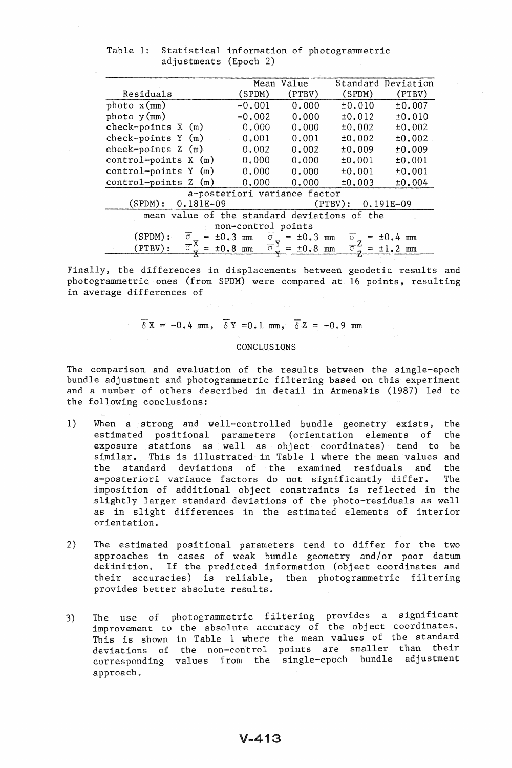|                                                    | Mean                             | Value             |                                 | Standard Deviation |
|----------------------------------------------------|----------------------------------|-------------------|---------------------------------|--------------------|
| Residuals                                          | (SPDM)                           | (PTBV)            | (SPDM)                          | (PTBV)             |
| photo x(mm)                                        | $-0.001$                         | 0.000             | ±0.010                          | ±0.007             |
| photo y (mm)                                       | $-0.002$                         | 0.000             | ±0.012                          | ±0.010             |
| check-points $X(m)$                                | 0.000                            | 0.000             | ±0.002                          | ±0.002             |
| check-points $Y(m)$                                | 0.001                            | 0.001             | ±0.002                          | ±0.002             |
| check-points $Z(m)$                                | 0.002                            | 0.002             | ±0.009                          | ±0.009             |
| control-points $X(m)$                              | 0.000                            | 0.000             | ±0.001                          | ±0.001             |
| $control$ -points Y $(m)$                          | 0.000                            | 0.000             | ±0.001                          | ±0.001             |
| control-points<br>Z<br>(m)                         | 0.000                            | 0.000             | ±0.003                          | ±0.004             |
| a-posteriori variance factor                       |                                  |                   |                                 |                    |
| (SPDM):<br>$0.181E-09$                             |                                  |                   | (PTBV):                         | $0.191E-09$        |
| mean value of the standard deviations of the       |                                  |                   |                                 |                    |
| non-control points                                 |                                  |                   |                                 |                    |
| (SPDM):<br>±0.3<br>$\sigma$<br>$=$                 | $\overline{\sigma}$<br>mm        | $= \pm 0.3$<br>mm | $\sigma$<br>$=$                 | ±0.4<br>mm         |
| $\overline{\sigma}^{\mathbf{A}}$<br>(PTBV):<br>$=$ | $\overline{\sigma}$<br>$±0.8$ mm | ±0.8<br>$=$<br>mm | $\overline{\sigma}$<br>$\equiv$ | $+1$<br>mm         |
|                                                    |                                  |                   |                                 |                    |

Table 1: Statistical information of photogrammetric adjustments (Epoch 2)

Finally, the differences in displacements between geodetic results and photogrammetric ones (from SPDM) were compared at 16 points, resulting in average differences of

 $\overline{\delta}X = -0.4$  mm,  $\overline{\delta}Y = 0.1$  mm,  $\overline{\delta}Z = -0.9$  mm

# CONCLUSIONS

The comparison and evaluation of the results between the single-epoch bundle adjustment and photogrammetric filtering based on this experiment and a number of others described in detail in Armenakis (1987) led to the following conclusions:

- 1) When a strong and well-controlled bundle geometry exists, the estimated positional parameters (orientation elements of the exposure stations as well as object coordinates) tend to be similar. This is illustrated in Table 1 where the mean values and the standard deviations of the examined residuals and the a-posteriori variance factors do not significantly differ. The imposition of additional object constraints is reflected in the slightly larger standard deviations of the photo-residuals as well as in slight differences in the estimated elements of interior orientation.
- 2) The estimated positional parameters tend to differ for the two approaches in cases of weak bundle geometry and/or poor datum definition. If the predicted information (object coordinates and their accuracies) is reliable, then photogrammetric filtering provides better absolute results.
- 3) The use of photogrammetric filtering provides a significant improvement to the absolute accuracy of the object coordinates. This is shown in Table I where the mean values of the standard deviations of the non-control points are smaller than their corresponding values from the single-epoch bundle adjustment approach.